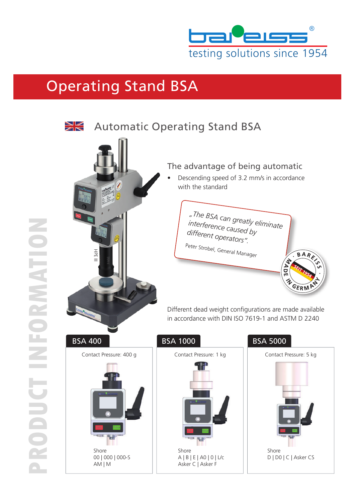

## Operating Stand BSA